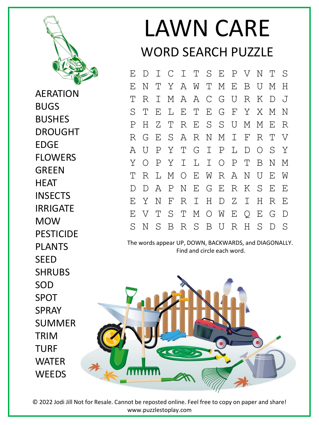

AERATION BUGS BUSHES DROUGHT EDGE FLOWERS GREEN **HEAT INSECTS** IRRIGATE MOW PESTICIDE PLANTS **SFFD** SHRUBS SOD SPOT SPRAY SUMMER TRIM TURF WATER **WEEDS** 

## LAWN CARE WORD SEARCH PUZZLE

E D I C I T S E P V N T S E N T Y A W T M E B U M H T R I M A A C G U R K D J S T E L E T E G F Y X M N P H Z T R E S S U M M E R R G E S A R N M I F R T V A U P Y T G I P L D O S Y Y O P Y I L I O P T B N M T R L M O E W R A N U E W D D A P N E G E R K S E E E Y N F R I H D Z I H R E E V T S T M O W E Q E G D S N S B R S B U R H S D S

The words appear UP, DOWN, BACKWARDS, and DIAGONALLY. Find and circle each word.



© 2022 Jodi Jill Not for Resale. Cannot be reposted online. Feel free to copy on paper and share! www.puzzlestoplay.com